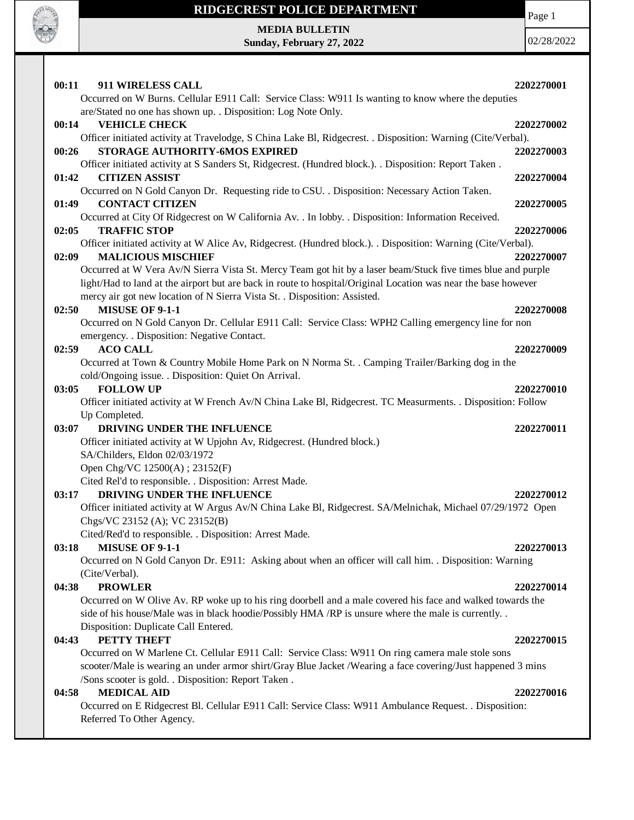

Page 1

**MEDIA BULLETIN Sunday, February 27, 2022**

| 00:11<br>911 WIRELESS CALL                                                                                     | 2202270001 |
|----------------------------------------------------------------------------------------------------------------|------------|
| Occurred on W Burns. Cellular E911 Call: Service Class: W911 Is wanting to know where the deputies             |            |
| are/Stated no one has shown up. . Disposition: Log Note Only.                                                  |            |
| 00:14<br><b>VEHICLE CHECK</b>                                                                                  | 2202270002 |
| Officer initiated activity at Travelodge, S China Lake Bl, Ridgecrest. . Disposition: Warning (Cite/Verbal).   |            |
| STORAGE AUTHORITY-6MOS EXPIRED<br>00:26                                                                        | 2202270003 |
| Officer initiated activity at S Sanders St, Ridgecrest. (Hundred block.). . Disposition: Report Taken.         |            |
| <b>CITIZEN ASSIST</b><br>01:42                                                                                 | 2202270004 |
| Occurred on N Gold Canyon Dr. Requesting ride to CSU. . Disposition: Necessary Action Taken.                   |            |
| <b>CONTACT CITIZEN</b><br>01:49                                                                                | 2202270005 |
| Occurred at City Of Ridgecrest on W California Av. . In lobby. . Disposition: Information Received.            |            |
| 02:05<br><b>TRAFFIC STOP</b>                                                                                   | 2202270006 |
| Officer initiated activity at W Alice Av, Ridgecrest. (Hundred block.). . Disposition: Warning (Cite/Verbal).  |            |
| 02:09<br><b>MALICIOUS MISCHIEF</b>                                                                             | 2202270007 |
| Occurred at W Vera Av/N Sierra Vista St. Mercy Team got hit by a laser beam/Stuck five times blue and purple   |            |
| light/Had to land at the airport but are back in route to hospital/Original Location was near the base however |            |
| mercy air got new location of N Sierra Vista St. . Disposition: Assisted.                                      |            |
| MISUSE OF 9-1-1<br>02:50                                                                                       | 2202270008 |
| Occurred on N Gold Canyon Dr. Cellular E911 Call: Service Class: WPH2 Calling emergency line for non           |            |
| emergency. . Disposition: Negative Contact.                                                                    |            |
| <b>ACO CALL</b><br>02:59                                                                                       | 2202270009 |
| Occurred at Town & Country Mobile Home Park on N Norma St. . Camping Trailer/Barking dog in the                |            |
| cold/Ongoing issue. . Disposition: Quiet On Arrival.                                                           |            |
| <b>FOLLOW UP</b><br>03:05                                                                                      | 2202270010 |
| Officer initiated activity at W French Av/N China Lake Bl, Ridgecrest. TC Measurments. . Disposition: Follow   |            |
| Up Completed.                                                                                                  |            |
| DRIVING UNDER THE INFLUENCE<br>03:07                                                                           | 2202270011 |
| Officer initiated activity at W Upjohn Av, Ridgecrest. (Hundred block.)                                        |            |
| SA/Childers, Eldon 02/03/1972                                                                                  |            |
| Open Chg/VC 12500(A); 23152(F)                                                                                 |            |
| Cited Rel'd to responsible. . Disposition: Arrest Made.                                                        |            |
| 03:17<br>DRIVING UNDER THE INFLUENCE                                                                           | 2202270012 |
| Officer initiated activity at W Argus Av/N China Lake Bl, Ridgecrest. SA/Melnichak, Michael 07/29/1972 Open    |            |
| Chgs/VC 23152 (A); VC 23152(B)                                                                                 |            |
| Cited/Red'd to responsible. . Disposition: Arrest Made.                                                        |            |
| <b>MISUSE OF 9-1-1</b><br>03:18                                                                                | 2202270013 |
| Occurred on N Gold Canyon Dr. E911: Asking about when an officer will call him. . Disposition: Warning         |            |
| (Cite/Verbal).                                                                                                 |            |
| <b>PROWLER</b><br>04:38                                                                                        | 2202270014 |
| Occurred on W Olive Av. RP woke up to his ring doorbell and a male covered his face and walked towards the     |            |
| side of his house/Male was in black hoodie/Possibly HMA /RP is unsure where the male is currently. .           |            |
| Disposition: Duplicate Call Entered.                                                                           |            |
| PETTY THEFT<br>04:43                                                                                           | 2202270015 |
| Occurred on W Marlene Ct. Cellular E911 Call: Service Class: W911 On ring camera male stole sons               |            |
| scooter/Male is wearing an under armor shirt/Gray Blue Jacket /Wearing a face covering/Just happened 3 mins    |            |
| /Sons scooter is gold. . Disposition: Report Taken .                                                           |            |
| <b>MEDICAL AID</b><br>04:58                                                                                    | 2202270016 |
| Occurred on E Ridgecrest Bl. Cellular E911 Call: Service Class: W911 Ambulance Request. . Disposition:         |            |
| Referred To Other Agency.                                                                                      |            |
|                                                                                                                |            |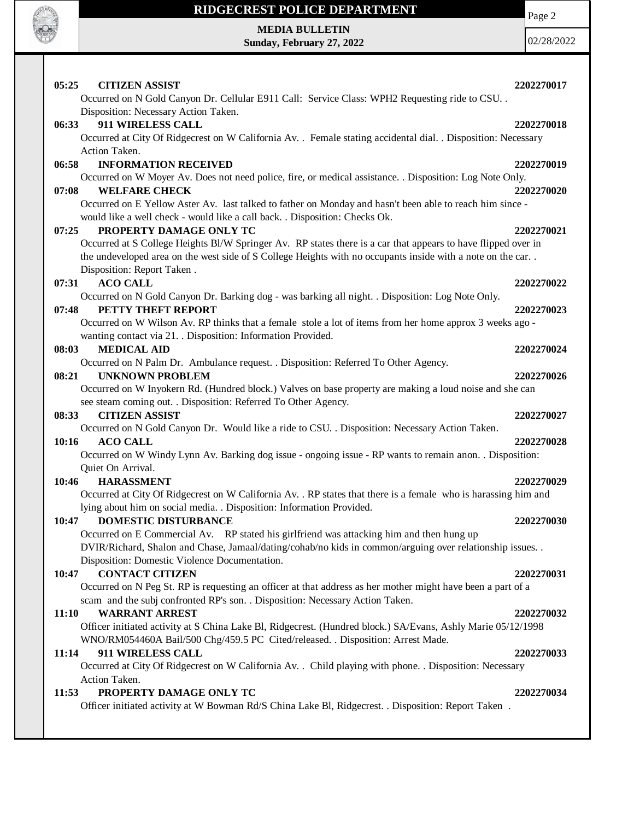

Page 2

**MEDIA BULLETIN Sunday, February 27, 2022**

| 05:25<br><b>CITIZEN ASSIST</b><br>Occurred on N Gold Canyon Dr. Cellular E911 Call: Service Class: WPH2 Requesting ride to CSU                                                                                              | 2202270017 |
|-----------------------------------------------------------------------------------------------------------------------------------------------------------------------------------------------------------------------------|------------|
| Disposition: Necessary Action Taken.                                                                                                                                                                                        |            |
| 911 WIRELESS CALL<br>06:33                                                                                                                                                                                                  | 2202270018 |
| Occurred at City Of Ridgecrest on W California Av. . Female stating accidental dial. . Disposition: Necessary                                                                                                               |            |
| Action Taken.                                                                                                                                                                                                               |            |
| <b>INFORMATION RECEIVED</b><br>06:58                                                                                                                                                                                        | 2202270019 |
| Occurred on W Moyer Av. Does not need police, fire, or medical assistance. . Disposition: Log Note Only.                                                                                                                    |            |
| <b>WELFARE CHECK</b><br>07:08                                                                                                                                                                                               | 2202270020 |
| Occurred on E Yellow Aster Av. last talked to father on Monday and hasn't been able to reach him since -                                                                                                                    |            |
| would like a well check - would like a call back. . Disposition: Checks Ok.                                                                                                                                                 |            |
| PROPERTY DAMAGE ONLY TC<br>07:25                                                                                                                                                                                            | 2202270021 |
| Occurred at S College Heights Bl/W Springer Av. RP states there is a car that appears to have flipped over in<br>the undeveloped area on the west side of S College Heights with no occupants inside with a note on the car |            |
| Disposition: Report Taken.                                                                                                                                                                                                  |            |
| <b>ACO CALL</b><br>07:31                                                                                                                                                                                                    | 2202270022 |
| Occurred on N Gold Canyon Dr. Barking dog - was barking all night. . Disposition: Log Note Only.                                                                                                                            |            |
| PETTY THEFT REPORT<br>07:48                                                                                                                                                                                                 | 2202270023 |
| Occurred on W Wilson Av. RP thinks that a female stole a lot of items from her home approx 3 weeks ago -                                                                                                                    |            |
| wanting contact via 21. Disposition: Information Provided.                                                                                                                                                                  |            |
| <b>MEDICAL AID</b><br>08:03                                                                                                                                                                                                 | 2202270024 |
| Occurred on N Palm Dr. Ambulance request. . Disposition: Referred To Other Agency.                                                                                                                                          |            |
| <b>UNKNOWN PROBLEM</b><br>08:21                                                                                                                                                                                             | 2202270026 |
| Occurred on W Inyokern Rd. (Hundred block.) Valves on base property are making a loud noise and she can                                                                                                                     |            |
| see steam coming out. . Disposition: Referred To Other Agency.                                                                                                                                                              |            |
| 08:33<br><b>CITIZEN ASSIST</b>                                                                                                                                                                                              | 2202270027 |
| Occurred on N Gold Canyon Dr. Would like a ride to CSU. . Disposition: Necessary Action Taken.                                                                                                                              |            |
| <b>ACO CALL</b><br>10:16                                                                                                                                                                                                    | 2202270028 |
| Occurred on W Windy Lynn Av. Barking dog issue - ongoing issue - RP wants to remain anon. . Disposition:                                                                                                                    |            |
| Quiet On Arrival.<br>10:46<br><b>HARASSMENT</b>                                                                                                                                                                             | 2202270029 |
| Occurred at City Of Ridgecrest on W California Av. . RP states that there is a female who is harassing him and                                                                                                              |            |
| lying about him on social media. . Disposition: Information Provided.                                                                                                                                                       |            |
| <b>DOMESTIC DISTURBANCE</b><br>10:47                                                                                                                                                                                        | 2202270030 |
| Occurred on E Commercial Av. RP stated his girlfriend was attacking him and then hung up                                                                                                                                    |            |
| DVIR/Richard, Shalon and Chase, Jamaal/dating/cohab/no kids in common/arguing over relationship issues. .                                                                                                                   |            |
| Disposition: Domestic Violence Documentation.                                                                                                                                                                               |            |
| <b>CONTACT CITIZEN</b><br>10:47                                                                                                                                                                                             | 2202270031 |
| Occurred on N Peg St. RP is requesting an officer at that address as her mother might have been a part of a                                                                                                                 |            |
| scam and the subj confronted RP's son. . Disposition: Necessary Action Taken.                                                                                                                                               |            |
| <b>WARRANT ARREST</b><br>11:10                                                                                                                                                                                              | 2202270032 |
| Officer initiated activity at S China Lake Bl, Ridgecrest. (Hundred block.) SA/Evans, Ashly Marie 05/12/1998                                                                                                                |            |
| WNO/RM054460A Bail/500 Chg/459.5 PC Cited/released. . Disposition: Arrest Made.                                                                                                                                             |            |
| 911 WIRELESS CALL<br>11:14                                                                                                                                                                                                  | 2202270033 |
| Occurred at City Of Ridgecrest on W California Av. . Child playing with phone. . Disposition: Necessary<br>Action Taken.                                                                                                    |            |
| PROPERTY DAMAGE ONLY TC<br>11:53                                                                                                                                                                                            | 2202270034 |
| Officer initiated activity at W Bowman Rd/S China Lake Bl, Ridgecrest. . Disposition: Report Taken.                                                                                                                         |            |
|                                                                                                                                                                                                                             |            |
|                                                                                                                                                                                                                             |            |
|                                                                                                                                                                                                                             |            |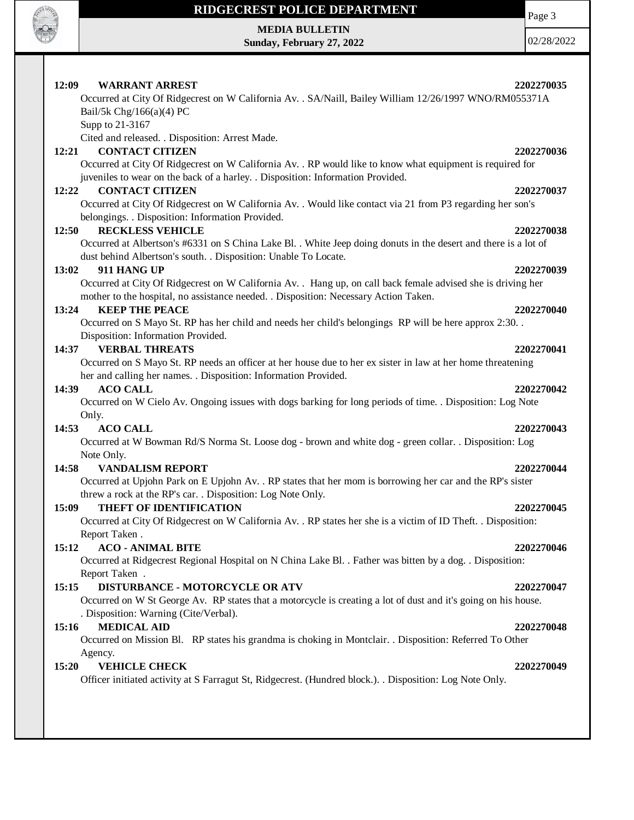

# **RIDGECREST POLICE DEPARTMENT MEDIA BULLETIN**

**Sunday, February 27, 2022**

Page 3

| 12:09<br><b>WARRANT ARREST</b>                   | 2202270035                                                                                                      |
|--------------------------------------------------|-----------------------------------------------------------------------------------------------------------------|
| Bail/5k Chg/166(a)(4) PC                         | Occurred at City Of Ridgecrest on W California Av. . SA/Naill, Bailey William 12/26/1997 WNO/RM055371A          |
| Supp to 21-3167                                  |                                                                                                                 |
| Cited and released. . Disposition: Arrest Made.  |                                                                                                                 |
| <b>CONTACT CITIZEN</b><br>12:21                  | 2202270036                                                                                                      |
|                                                  | Occurred at City Of Ridgecrest on W California Av. . RP would like to know what equipment is required for       |
|                                                  | juveniles to wear on the back of a harley. . Disposition: Information Provided.                                 |
| 12:22<br><b>CONTACT CITIZEN</b>                  | 2202270037                                                                                                      |
|                                                  | Occurred at City Of Ridgecrest on W California Av. . Would like contact via 21 from P3 regarding her son's      |
| belongings. . Disposition: Information Provided. |                                                                                                                 |
| <b>RECKLESS VEHICLE</b><br>12:50                 | 2202270038                                                                                                      |
|                                                  | Occurred at Albertson's #6331 on S China Lake Bl. . White Jeep doing donuts in the desert and there is a lot of |
|                                                  | dust behind Albertson's south. . Disposition: Unable To Locate.                                                 |
| 911 HANG UP<br>13:02                             | 2202270039                                                                                                      |
|                                                  | Occurred at City Of Ridgecrest on W California Av. . Hang up, on call back female advised she is driving her    |
|                                                  | mother to the hospital, no assistance needed. . Disposition: Necessary Action Taken.                            |
| <b>KEEP THE PEACE</b><br>13:24                   | 2202270040                                                                                                      |
|                                                  | Occurred on S Mayo St. RP has her child and needs her child's belongings RP will be here approx 2:30            |
| Disposition: Information Provided.               |                                                                                                                 |
| <b>VERBAL THREATS</b><br>14:37                   | 2202270041                                                                                                      |
|                                                  | Occurred on S Mayo St. RP needs an officer at her house due to her ex sister in law at her home threatening     |
|                                                  | her and calling her names. . Disposition: Information Provided.                                                 |
| <b>ACO CALL</b><br>14:39                         | 2202270042                                                                                                      |
|                                                  | Occurred on W Cielo Av. Ongoing issues with dogs barking for long periods of time. . Disposition: Log Note      |
| Only.                                            |                                                                                                                 |
| <b>ACO CALL</b><br>14:53                         | 2202270043                                                                                                      |
|                                                  | Occurred at W Bowman Rd/S Norma St. Loose dog - brown and white dog - green collar. . Disposition: Log          |
| Note Only.                                       |                                                                                                                 |
| 14:58<br><b>VANDALISM REPORT</b>                 | 2202270044                                                                                                      |
|                                                  | Occurred at Upjohn Park on E Upjohn Av. . RP states that her mom is borrowing her car and the RP's sister       |
|                                                  | threw a rock at the RP's car. . Disposition: Log Note Only.                                                     |
| THEFT OF IDENTIFICATION<br>15:09                 | 2202270045                                                                                                      |
|                                                  | Occurred at City Of Ridgecrest on W California Av. . RP states her she is a victim of ID Theft. . Disposition:  |
| Report Taken.                                    |                                                                                                                 |
| <b>ACO - ANIMAL BITE</b><br>15:12                | 2202270046                                                                                                      |
|                                                  | Occurred at Ridgecrest Regional Hospital on N China Lake Bl. . Father was bitten by a dog. . Disposition:       |
| Report Taken.                                    |                                                                                                                 |
| 15:15                                            | DISTURBANCE - MOTORCYCLE OR ATV<br>2202270047                                                                   |
|                                                  | Occurred on W St George Av. RP states that a motorcycle is creating a lot of dust and it's going on his house.  |
| . Disposition: Warning (Cite/Verbal).            |                                                                                                                 |
| <b>MEDICAL AID</b><br>15:16                      | 2202270048                                                                                                      |
|                                                  | Occurred on Mission Bl. RP states his grandma is choking in Montclair. . Disposition: Referred To Other         |
| Agency.                                          |                                                                                                                 |
| 15:20<br><b>VEHICLE CHECK</b>                    | 2202270049                                                                                                      |
|                                                  | Officer initiated activity at S Farragut St, Ridgecrest. (Hundred block.). Disposition: Log Note Only.          |
|                                                  |                                                                                                                 |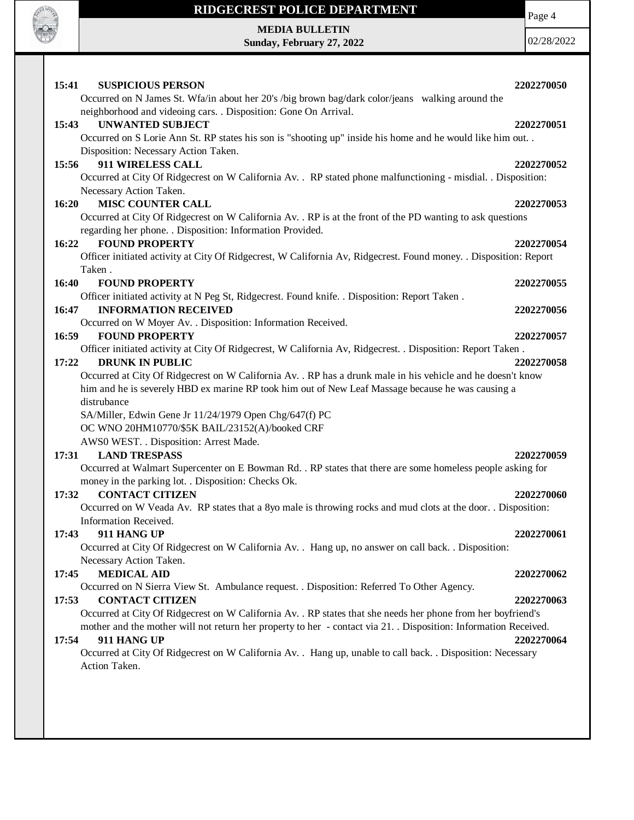

**MEDIA BULLETIN Sunday, February 27, 2022** Page 4

| 15:41<br><b>SUSPICIOUS PERSON</b><br>Occurred on N James St. Wfa/in about her 20's /big brown bag/dark color/jeans walking around the                                                                                                                                                                                                       | 2202270050               |
|---------------------------------------------------------------------------------------------------------------------------------------------------------------------------------------------------------------------------------------------------------------------------------------------------------------------------------------------|--------------------------|
| neighborhood and videoing cars. . Disposition: Gone On Arrival.<br><b>UNWANTED SUBJECT</b><br>15:43<br>Occurred on S Lorie Ann St. RP states his son is "shooting up" inside his home and he would like him out<br>Disposition: Necessary Action Taken.                                                                                     | 2202270051               |
| 911 WIRELESS CALL<br>15:56<br>Occurred at City Of Ridgecrest on W California Av. . RP stated phone malfunctioning - misdial. . Disposition:<br>Necessary Action Taken.                                                                                                                                                                      | 2202270052               |
| <b>MISC COUNTER CALL</b><br>16:20<br>Occurred at City Of Ridgecrest on W California Av. . RP is at the front of the PD wanting to ask questions<br>regarding her phone. . Disposition: Information Provided.                                                                                                                                | 2202270053               |
| 16:22<br><b>FOUND PROPERTY</b><br>Officer initiated activity at City Of Ridgecrest, W California Av, Ridgecrest. Found money. . Disposition: Report<br>Taken.                                                                                                                                                                               | 2202270054               |
| 16:40<br><b>FOUND PROPERTY</b>                                                                                                                                                                                                                                                                                                              | 2202270055               |
| Officer initiated activity at N Peg St, Ridgecrest. Found knife. . Disposition: Report Taken.<br><b>INFORMATION RECEIVED</b><br>16:47<br>Occurred on W Moyer Av. . Disposition: Information Received.                                                                                                                                       | 2202270056               |
| <b>FOUND PROPERTY</b><br>16:59<br>Officer initiated activity at City Of Ridgecrest, W California Av, Ridgecrest. . Disposition: Report Taken.<br><b>DRUNK IN PUBLIC</b><br>17:22                                                                                                                                                            | 2202270057<br>2202270058 |
| Occurred at City Of Ridgecrest on W California Av. . RP has a drunk male in his vehicle and he doesn't know<br>him and he is severely HBD ex marine RP took him out of New Leaf Massage because he was causing a<br>distrubance<br>SA/Miller, Edwin Gene Jr 11/24/1979 Open Chg/647(f) PC<br>OC WNO 20HM10770/\$5K BAIL/23152(A)/booked CRF |                          |
| AWS0 WEST. . Disposition: Arrest Made.<br><b>LAND TRESPASS</b><br>17:31<br>Occurred at Walmart Supercenter on E Bowman Rd. . RP states that there are some homeless people asking for                                                                                                                                                       | 2202270059               |
| money in the parking lot. . Disposition: Checks Ok.<br><b>CONTACT CITIZEN</b><br>17:32<br>Occurred on W Veada Av. RP states that a 8yo male is throwing rocks and mud clots at the door. . Disposition:                                                                                                                                     | 2202270060               |
| Information Received.<br>911 HANG UP<br>17:43<br>Occurred at City Of Ridgecrest on W California Av. . Hang up, no answer on call back. . Disposition:                                                                                                                                                                                       | 2202270061               |
| Necessary Action Taken.<br><b>MEDICAL AID</b><br>17:45<br>Occurred on N Sierra View St. Ambulance request. . Disposition: Referred To Other Agency.                                                                                                                                                                                         | 2202270062               |
| <b>CONTACT CITIZEN</b><br>17:53<br>Occurred at City Of Ridgecrest on W California Av. . RP states that she needs her phone from her boyfriend's<br>mother and the mother will not return her property to her - contact via 21. . Disposition: Information Received.                                                                         | 2202270063               |
| 911 HANG UP<br>17:54<br>Occurred at City Of Ridgecrest on W California Av. . Hang up, unable to call back. . Disposition: Necessary<br>Action Taken.                                                                                                                                                                                        | 2202270064               |
|                                                                                                                                                                                                                                                                                                                                             |                          |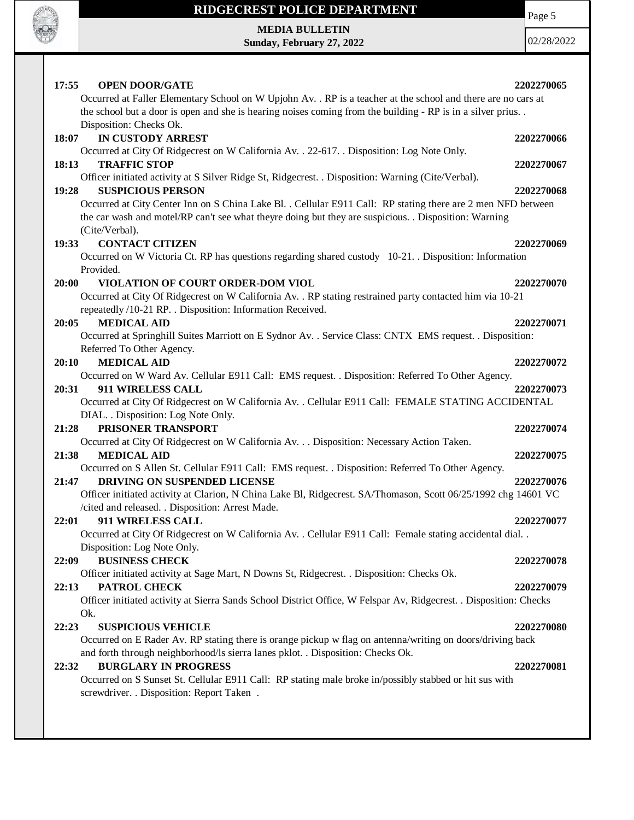

Page 5

**MEDIA BULLETIN Sunday, February 27, 2022**

| 17:55<br><b>OPEN DOOR/GATE</b><br>Occurred at Faller Elementary School on W Upjohn Av. . RP is a teacher at the school and there are no cars at<br>the school but a door is open and she is hearing noises coming from the building - RP is in a silver prius                                                                                                    | 2202270065               |
|------------------------------------------------------------------------------------------------------------------------------------------------------------------------------------------------------------------------------------------------------------------------------------------------------------------------------------------------------------------|--------------------------|
| Disposition: Checks Ok.<br><b>IN CUSTODY ARREST</b><br>18:07<br>Occurred at City Of Ridgecrest on W California Av. . 22-617. . Disposition: Log Note Only.<br><b>TRAFFIC STOP</b><br>18:13                                                                                                                                                                       | 2202270066<br>2202270067 |
| Officer initiated activity at S Silver Ridge St, Ridgecrest. . Disposition: Warning (Cite/Verbal).<br><b>SUSPICIOUS PERSON</b><br>19:28<br>Occurred at City Center Inn on S China Lake Bl. . Cellular E911 Call: RP stating there are 2 men NFD between<br>the car wash and motel/RP can't see what theyre doing but they are suspicious. . Disposition: Warning | 2202270068               |
| (Cite/Verbal).<br><b>CONTACT CITIZEN</b><br>19:33<br>Occurred on W Victoria Ct. RP has questions regarding shared custody 10-21. Disposition: Information<br>Provided.                                                                                                                                                                                           | 2202270069               |
| VIOLATION OF COURT ORDER-DOM VIOL<br>20:00<br>Occurred at City Of Ridgecrest on W California Av. . RP stating restrained party contacted him via 10-21<br>repeatedly /10-21 RP. . Disposition: Information Received.<br><b>MEDICAL AID</b><br>20:05                                                                                                              | 2202270070<br>2202270071 |
| Occurred at Springhill Suites Marriott on E Sydnor Av. . Service Class: CNTX EMS request. . Disposition:<br>Referred To Other Agency.<br><b>MEDICAL AID</b><br>20:10                                                                                                                                                                                             | 2202270072               |
| Occurred on W Ward Av. Cellular E911 Call: EMS request. . Disposition: Referred To Other Agency.<br>911 WIRELESS CALL<br>20:31<br>Occurred at City Of Ridgecrest on W California Av. . Cellular E911 Call: FEMALE STATING ACCIDENTAL                                                                                                                             | 2202270073               |
| DIAL. . Disposition: Log Note Only.<br>PRISONER TRANSPORT<br>21:28<br>Occurred at City Of Ridgecrest on W California Av. Disposition: Necessary Action Taken.                                                                                                                                                                                                    | 2202270074               |
| <b>MEDICAL AID</b><br>21:38<br>Occurred on S Allen St. Cellular E911 Call: EMS request. . Disposition: Referred To Other Agency.<br>DRIVING ON SUSPENDED LICENSE<br>21:47<br>Officer initiated activity at Clarion, N China Lake Bl, Ridgecrest. SA/Thomason, Scott 06/25/1992 chg 14601 VC                                                                      | 2202270075<br>2202270076 |
| /cited and released. . Disposition: Arrest Made.<br>911 WIRELESS CALL<br>22:01<br>Occurred at City Of Ridgecrest on W California Av. . Cellular E911 Call: Female stating accidental dial. .                                                                                                                                                                     | 2202270077               |
| Disposition: Log Note Only.<br><b>BUSINESS CHECK</b><br>22:09<br>Officer initiated activity at Sage Mart, N Downs St, Ridgecrest. . Disposition: Checks Ok.<br><b>PATROL CHECK</b><br>22:13                                                                                                                                                                      | 2202270078<br>2202270079 |
| Officer initiated activity at Sierra Sands School District Office, W Felspar Av, Ridgecrest. . Disposition: Checks<br>Ok.<br>22:23<br><b>SUSPICIOUS VEHICLE</b>                                                                                                                                                                                                  | 2202270080               |
| Occurred on E Rader Av. RP stating there is orange pickup w flag on antenna/writing on doors/driving back<br>and forth through neighborhood/ls sierra lanes pklot. . Disposition: Checks Ok.<br><b>BURGLARY IN PROGRESS</b><br>22:32                                                                                                                             | 2202270081               |
| Occurred on S Sunset St. Cellular E911 Call: RP stating male broke in/possibly stabbed or hit sus with<br>screwdriver. . Disposition: Report Taken.                                                                                                                                                                                                              |                          |